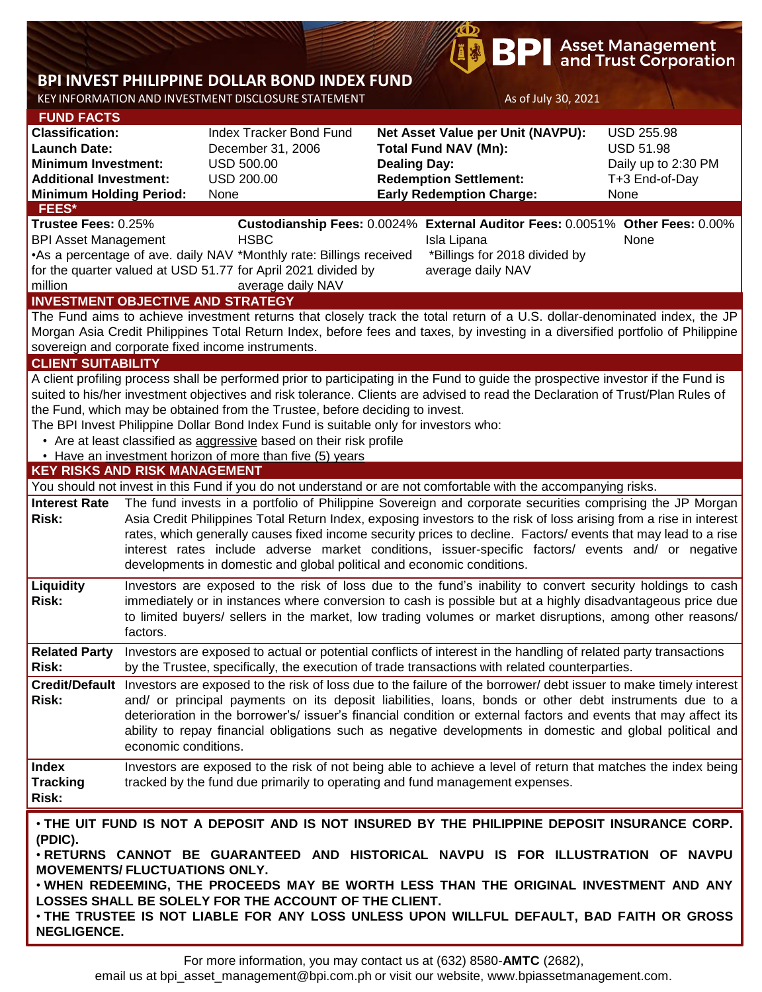# **BP** Asset Management<br> **BP** and Trust Corporation

## **BPI INVEST PHILIPPINE DOLLAR BOND INDEX FUND**

KEY INFORMATION AND INVESTMENT DISCLOSURE STATEMENT And the statement of the statement of the statement of the statement of the statement of the statement of the statement of the statement of the statement of the statement

| <b>FUND FACTS</b>                                                                                                              |                                                                                                                |                                                                                                                    |  |                                                                                                                                   |                     |  |  |  |  |  |
|--------------------------------------------------------------------------------------------------------------------------------|----------------------------------------------------------------------------------------------------------------|--------------------------------------------------------------------------------------------------------------------|--|-----------------------------------------------------------------------------------------------------------------------------------|---------------------|--|--|--|--|--|
| <b>Classification:</b>                                                                                                         |                                                                                                                | Index Tracker Bond Fund                                                                                            |  | Net Asset Value per Unit (NAVPU):                                                                                                 | <b>USD 255.98</b>   |  |  |  |  |  |
| <b>Launch Date:</b>                                                                                                            |                                                                                                                | December 31, 2006                                                                                                  |  | <b>Total Fund NAV (Mn):</b>                                                                                                       | <b>USD 51.98</b>    |  |  |  |  |  |
| <b>Minimum Investment:</b>                                                                                                     |                                                                                                                | <b>USD 500.00</b>                                                                                                  |  | <b>Dealing Day:</b>                                                                                                               | Daily up to 2:30 PM |  |  |  |  |  |
| <b>Additional Investment:</b>                                                                                                  |                                                                                                                | USD 200.00                                                                                                         |  | <b>Redemption Settlement:</b>                                                                                                     | T+3 End-of-Day      |  |  |  |  |  |
| <b>Minimum Holding Period:</b>                                                                                                 |                                                                                                                | None                                                                                                               |  | <b>Early Redemption Charge:</b>                                                                                                   | None                |  |  |  |  |  |
| FEES*                                                                                                                          |                                                                                                                |                                                                                                                    |  |                                                                                                                                   |                     |  |  |  |  |  |
| Trustee Fees: 0.25%                                                                                                            |                                                                                                                |                                                                                                                    |  | Custodianship Fees: 0.0024% External Auditor Fees: 0.0051% Other Fees: 0.00%                                                      |                     |  |  |  |  |  |
| <b>BPI Asset Management</b>                                                                                                    |                                                                                                                | <b>HSBC</b>                                                                                                        |  | Isla Lipana                                                                                                                       | None                |  |  |  |  |  |
|                                                                                                                                |                                                                                                                | •As a percentage of ave. daily NAV *Monthly rate: Billings received                                                |  | *Billings for 2018 divided by                                                                                                     |                     |  |  |  |  |  |
| for the quarter valued at USD 51.77 for April 2021 divided by<br>average daily NAV                                             |                                                                                                                |                                                                                                                    |  |                                                                                                                                   |                     |  |  |  |  |  |
| million                                                                                                                        |                                                                                                                | average daily NAV                                                                                                  |  |                                                                                                                                   |                     |  |  |  |  |  |
| <b>INVESTMENT OBJECTIVE AND STRATEGY</b>                                                                                       |                                                                                                                |                                                                                                                    |  |                                                                                                                                   |                     |  |  |  |  |  |
| The Fund aims to achieve investment returns that closely track the total return of a U.S. dollar-denominated index, the JP     |                                                                                                                |                                                                                                                    |  |                                                                                                                                   |                     |  |  |  |  |  |
|                                                                                                                                |                                                                                                                |                                                                                                                    |  | Morgan Asia Credit Philippines Total Return Index, before fees and taxes, by investing in a diversified portfolio of Philippine   |                     |  |  |  |  |  |
|                                                                                                                                |                                                                                                                | sovereign and corporate fixed income instruments.                                                                  |  |                                                                                                                                   |                     |  |  |  |  |  |
| <b>CLIENT SUITABILITY</b>                                                                                                      |                                                                                                                |                                                                                                                    |  |                                                                                                                                   |                     |  |  |  |  |  |
|                                                                                                                                |                                                                                                                |                                                                                                                    |  | A client profiling process shall be performed prior to participating in the Fund to guide the prospective investor if the Fund is |                     |  |  |  |  |  |
| suited to his/her investment objectives and risk tolerance. Clients are advised to read the Declaration of Trust/Plan Rules of |                                                                                                                |                                                                                                                    |  |                                                                                                                                   |                     |  |  |  |  |  |
|                                                                                                                                |                                                                                                                | the Fund, which may be obtained from the Trustee, before deciding to invest.                                       |  |                                                                                                                                   |                     |  |  |  |  |  |
| The BPI Invest Philippine Dollar Bond Index Fund is suitable only for investors who:                                           |                                                                                                                |                                                                                                                    |  |                                                                                                                                   |                     |  |  |  |  |  |
|                                                                                                                                |                                                                                                                | • Are at least classified as aggressive based on their risk profile                                                |  |                                                                                                                                   |                     |  |  |  |  |  |
|                                                                                                                                |                                                                                                                | • Have an investment horizon of more than five (5) years                                                           |  |                                                                                                                                   |                     |  |  |  |  |  |
| <b>KEY RISKS AND RISK MANAGEMENT</b>                                                                                           |                                                                                                                |                                                                                                                    |  |                                                                                                                                   |                     |  |  |  |  |  |
|                                                                                                                                |                                                                                                                |                                                                                                                    |  | You should not invest in this Fund if you do not understand or are not comfortable with the accompanying risks.                   |                     |  |  |  |  |  |
| <b>Interest Rate</b>                                                                                                           |                                                                                                                |                                                                                                                    |  | The fund invests in a portfolio of Philippine Sovereign and corporate securities comprising the JP Morgan                         |                     |  |  |  |  |  |
| <b>Risk:</b>                                                                                                                   |                                                                                                                | Asia Credit Philippines Total Return Index, exposing investors to the risk of loss arising from a rise in interest |  |                                                                                                                                   |                     |  |  |  |  |  |
|                                                                                                                                | rates, which generally causes fixed income security prices to decline. Factors/ events that may lead to a rise |                                                                                                                    |  |                                                                                                                                   |                     |  |  |  |  |  |
|                                                                                                                                |                                                                                                                | interest rates include adverse market conditions, issuer-specific factors/ events and/ or negative                 |  |                                                                                                                                   |                     |  |  |  |  |  |
|                                                                                                                                |                                                                                                                | developments in domestic and global political and economic conditions.                                             |  |                                                                                                                                   |                     |  |  |  |  |  |
| Liquidity                                                                                                                      |                                                                                                                |                                                                                                                    |  | Investors are exposed to the risk of loss due to the fund's inability to convert security holdings to cash                        |                     |  |  |  |  |  |
| Risk:                                                                                                                          | immediately or in instances where conversion to cash is possible but at a highly disadvantageous price due     |                                                                                                                    |  |                                                                                                                                   |                     |  |  |  |  |  |
|                                                                                                                                | to limited buyers/ sellers in the market, low trading volumes or market disruptions, among other reasons/      |                                                                                                                    |  |                                                                                                                                   |                     |  |  |  |  |  |
|                                                                                                                                | factors.                                                                                                       |                                                                                                                    |  |                                                                                                                                   |                     |  |  |  |  |  |
| <b>Related Party</b>                                                                                                           |                                                                                                                |                                                                                                                    |  | Investors are exposed to actual or potential conflicts of interest in the handling of related party transactions                  |                     |  |  |  |  |  |
| Risk:                                                                                                                          |                                                                                                                |                                                                                                                    |  | by the Trustee, specifically, the execution of trade transactions with related counterparties.                                    |                     |  |  |  |  |  |
|                                                                                                                                |                                                                                                                |                                                                                                                    |  | Credit/Default Investors are exposed to the risk of loss due to the failure of the borrower/debt issuer to make timely interest   |                     |  |  |  |  |  |
| Risk:                                                                                                                          |                                                                                                                |                                                                                                                    |  | and/ or principal payments on its deposit liabilities, loans, bonds or other debt instruments due to a                            |                     |  |  |  |  |  |
|                                                                                                                                |                                                                                                                |                                                                                                                    |  | deterioration in the borrower's/ issuer's financial condition or external factors and events that may affect its                  |                     |  |  |  |  |  |
|                                                                                                                                |                                                                                                                |                                                                                                                    |  | ability to repay financial obligations such as negative developments in domestic and global political and                         |                     |  |  |  |  |  |
|                                                                                                                                | economic conditions.                                                                                           |                                                                                                                    |  |                                                                                                                                   |                     |  |  |  |  |  |
|                                                                                                                                |                                                                                                                |                                                                                                                    |  | Investors are exposed to the risk of not being able to achieve a level of return that matches the index being                     |                     |  |  |  |  |  |
| <b>Index</b><br><b>Tracking</b>                                                                                                |                                                                                                                | tracked by the fund due primarily to operating and fund management expenses.                                       |  |                                                                                                                                   |                     |  |  |  |  |  |
| Risk:                                                                                                                          |                                                                                                                |                                                                                                                    |  |                                                                                                                                   |                     |  |  |  |  |  |
|                                                                                                                                |                                                                                                                |                                                                                                                    |  |                                                                                                                                   |                     |  |  |  |  |  |
|                                                                                                                                |                                                                                                                |                                                                                                                    |  | . THE UIT FUND IS NOT A DEPOSIT AND IS NOT INSURED BY THE PHILIPPINE DEPOSIT INSURANCE CORP.                                      |                     |  |  |  |  |  |
| (PDIC).                                                                                                                        |                                                                                                                |                                                                                                                    |  |                                                                                                                                   |                     |  |  |  |  |  |
| . RETURNS CANNOT BE GUARANTEED AND HISTORICAL NAVPU IS FOR ILLUSTRATION OF NAVPU                                               |                                                                                                                |                                                                                                                    |  |                                                                                                                                   |                     |  |  |  |  |  |
| <b>MOVEMENTS/ FLUCTUATIONS ONLY.</b>                                                                                           |                                                                                                                |                                                                                                                    |  |                                                                                                                                   |                     |  |  |  |  |  |
| . WHEN REDEEMING, THE PROCEEDS MAY BE WORTH LESS THAN THE ORIGINAL INVESTMENT AND ANY                                          |                                                                                                                |                                                                                                                    |  |                                                                                                                                   |                     |  |  |  |  |  |
| LOSSES SHALL BE SOLELY FOR THE ACCOUNT OF THE CLIENT.                                                                          |                                                                                                                |                                                                                                                    |  |                                                                                                                                   |                     |  |  |  |  |  |
| . THE TRUSTEE IS NOT LIABLE FOR ANY LOSS UNLESS UPON WILLFUL DEFAULT, BAD FAITH OR GROSS                                       |                                                                                                                |                                                                                                                    |  |                                                                                                                                   |                     |  |  |  |  |  |
| <b>NEGLIGENCE.</b>                                                                                                             |                                                                                                                |                                                                                                                    |  |                                                                                                                                   |                     |  |  |  |  |  |

email us at bpi\_asset\_management@bpi.com.ph or visit our website, www.bpiassetmanagement.com.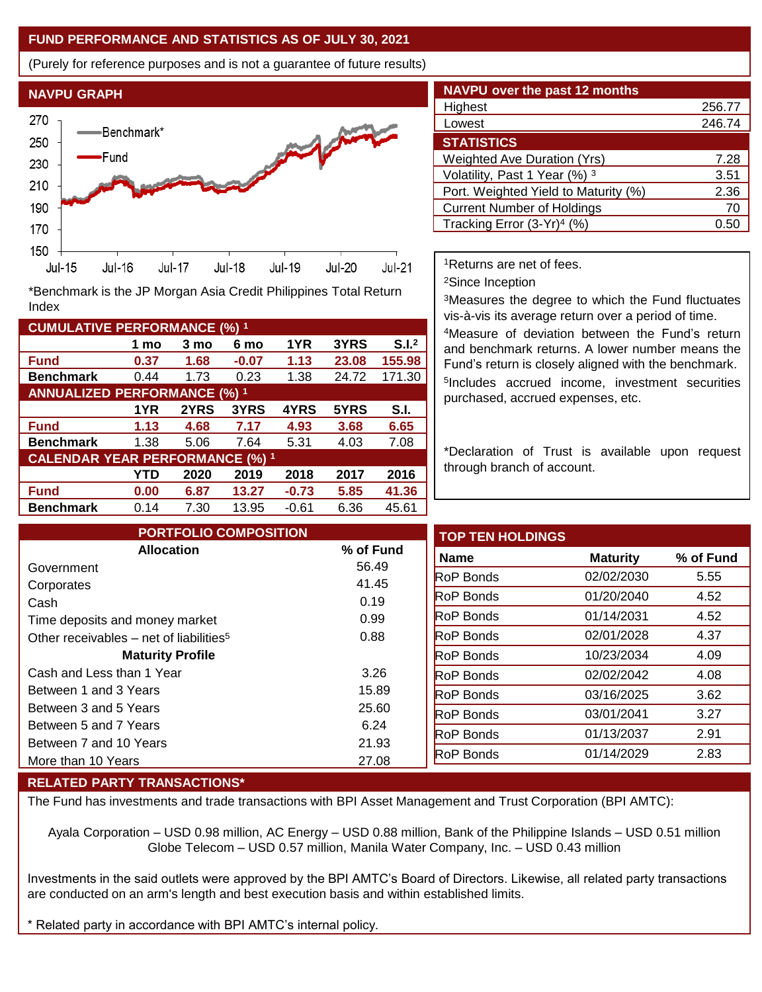### **FUND PERFORMANCE AND STATISTICS AS OF JULY 30, 2021**

(Purely for reference purposes and is not a guarantee of future results)



**Fund 0.37 1.68 -0.07 1.13 23.08 155.98 Benchmark** 0.44 1.73 0.23 1.38 24.72 171.30

\*Benchmark is the JP Morgan Asia Credit Philippines Total Return

**Fund 1.13 4.68 7.17 4.93 3.68 6.65 Benchmark** 1.38 5.06 7.64 5.31 4.03 7.08

**Fund 0.00 6.87 13.27 -0.73 5.85 41.36 Benchmark** 0.14 7.30 13.95 -0.61 6.36 45.61

**1 mo 3 mo 6 mo 1YR 3YRS S.I.<sup>2</sup>**

**1YR 2YRS 3YRS 4YRS 5YRS S.I.**

**YTD 2020 2019 2018 2017 2016**

| <b>NAVPU over the past 12 months</b>   |        |  |  |  |  |  |
|----------------------------------------|--------|--|--|--|--|--|
| Highest                                | 256.77 |  |  |  |  |  |
| Lowest                                 | 246.74 |  |  |  |  |  |
| <b>STATISTICS</b>                      |        |  |  |  |  |  |
| <b>Weighted Ave Duration (Yrs)</b>     | 7.28   |  |  |  |  |  |
| Volatility, Past 1 Year (%) 3          | 3.51   |  |  |  |  |  |
| Port. Weighted Yield to Maturity (%)   | 2.36   |  |  |  |  |  |
| <b>Current Number of Holdings</b>      | 70     |  |  |  |  |  |
| Tracking Error (3-Yr) <sup>4</sup> (%) | 0.5    |  |  |  |  |  |

<sup>1</sup>Returns are net of fees.

<sup>2</sup>Since Inception

<sup>3</sup>Measures the degree to which the Fund fluctuates vis-à-vis its average return over a period of time.

<sup>4</sup>Measure of deviation between the Fund's return and benchmark returns. A lower number means the Fund's return is closely aligned with the benchmark. 5 Includes accrued income, investment securities purchased, accrued expenses, etc.

\*Declaration of Trust is available upon request through branch of account.

| <b>PORTFOLIO COMPOSITION</b>                        |           | <b>TOP TEN HOLDINGS</b> |                 |           |
|-----------------------------------------------------|-----------|-------------------------|-----------------|-----------|
| <b>Allocation</b>                                   | % of Fund | <b>Name</b>             | <b>Maturity</b> | % of Fund |
| Government                                          | 56.49     | <b>RoP Bonds</b>        | 02/02/2030      |           |
| Corporates                                          | 41.45     |                         |                 |           |
| Cash                                                | 0.19      | <b>RoP Bonds</b>        | 01/20/2040      |           |
| Time deposits and money market                      | 0.99      | <b>RoP Bonds</b>        | 01/14/2031      |           |
| Other receivables - net of liabilities <sup>5</sup> | 0.88      | <b>RoP Bonds</b>        | 02/01/2028      |           |
| <b>Maturity Profile</b>                             |           | <b>RoP Bonds</b>        | 10/23/2034      |           |
| Cash and Less than 1 Year                           | 3.26      | <b>RoP Bonds</b>        | 02/02/2042      |           |
| Between 1 and 3 Years                               | 15.89     | <b>RoP Bonds</b>        | 03/16/2025      |           |
| Between 3 and 5 Years                               | 25.60     | <b>RoP Bonds</b>        | 03/01/2041      |           |
| Between 5 and 7 Years                               | 6.24      | <b>RoP Bonds</b>        | 01/13/2037      |           |
| Between 7 and 10 Years                              | 21.93     |                         |                 |           |
| More than 10 Years                                  | 27.08     | <b>RoP Bonds</b>        | 01/14/2029      |           |

#### **RELATED PARTY TRANSACTIONS\***

**CUMULATIVE PERFORMANCE (%) <sup>1</sup>**

Index

**ANNUALIZED PERFORMANCE (%) <sup>1</sup>**

**CALENDAR YEAR PERFORMANCE (%) <sup>1</sup>**

The Fund has investments and trade transactions with BPI Asset Management and Trust Corporation (BPI AMTC):

Ayala Corporation – USD 0.98 million, AC Energy – USD 0.88 million, Bank of the Philippine Islands – USD 0.51 million Globe Telecom – USD 0.57 million, Manila Water Company, Inc. – USD 0.43 million

Investments in the said outlets were approved by the BPI AMTC's Board of Directors. Likewise, all related party transactions are conducted on an arm's length and best execution basis and within established limits.

Related party in accordance with BPI AMTC's internal policy.